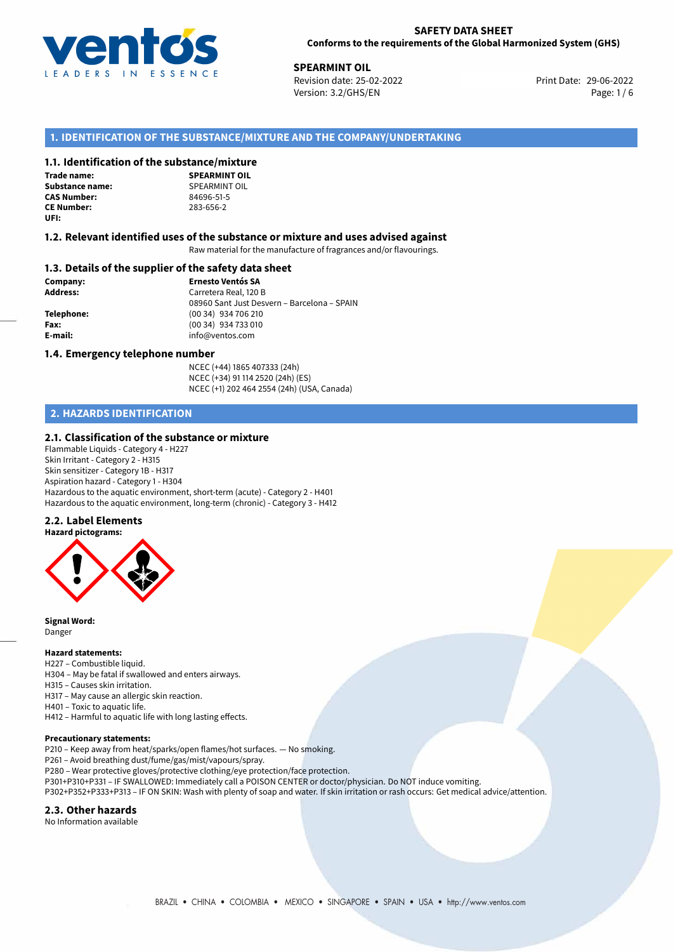

**29-06-2022 SPEARMINT OIL**<br>29-06-2022 **Revision date: 25-02-2022** Print Date: 29-06-2022 Version: 3.2/GHS/EN Page: 1 / 6

## **1. IDENTIFICATION OF THE SUBSTANCE/MIXTURE AND THE COMPANY/UNDERTAKING**

#### **1.1. Identification of the substance/mixture**

**Trade name: Substance name:** SPEARMINT OIL<br> **CAS Number:** 84696-51-5 **CE Number:** 283-656-2 **UFI:**

**SPEARMINT OIL CAS Number:** 84696-51-5

#### **1.2. Relevant identified uses of the substance or mixture and uses advised against**

Raw material for the manufacture of fragrances and/or flavourings.

#### **1.3. Details of the supplier of the safety data sheet**

**Company: Ernesto Ventós SA Address:** Carretera Real, 120 B 08960 Sant Just Desvern – Barcelona – SPAIN **Telephone:** (00 34) 934 706 210 **Fax:** (00 34) 934 733 010 **E-mail:** info@ventos.com

#### **1.4. Emergency telephone number**

NCEC (+44) 1865 407333 (24h) NCEC (+34) 91 114 2520 (24h) (ES) NCEC (+1) 202 464 2554 (24h) (USA, Canada)

# **2. HAZARDS IDENTIFICATION**

#### **2.1. Classification of the substance or mixture**

Flammable Liquids - Category 4 - H227 Skin Irritant - Category 2 - H315 Skin sensitizer - Category 1B - H317 Aspiration hazard - Category 1 - H304 Hazardous to the aquatic environment, short-term (acute) - Category 2 - H401 Hazardous to the aquatic environment, long-term (chronic) - Category 3 - H412

## **2.2. Label Elements**



**Signal Word:** Danger

# **Hazard statements:**

H227 – Combustible liquid. H304 – May be fatal if swallowed and enters airways. H315 – Causes skin irritation. H317 – May cause an allergic skin reaction. H401 – Toxic to aquatic life. H412 – Harmful to aquatic life with long lasting effects.

#### **Precautionary statements:**

P210 – Keep away from heat/sparks/open flames/hot surfaces. — No smoking. P261 – Avoid breathing dust/fume/gas/mist/vapours/spray. P280 – Wear protective gloves/protective clothing/eye protection/face protection. P301+P310+P331 – IF SWALLOWED: Immediately call a POISON CENTER or doctor/physician. Do NOT induce vomiting.

#### P302+P352+P333+P313 – IF ON SKIN: Wash with plenty of soap and water. If skin irritation or rash occurs: Get medical advice/attention.

#### **2.3. Other hazards**

No Information available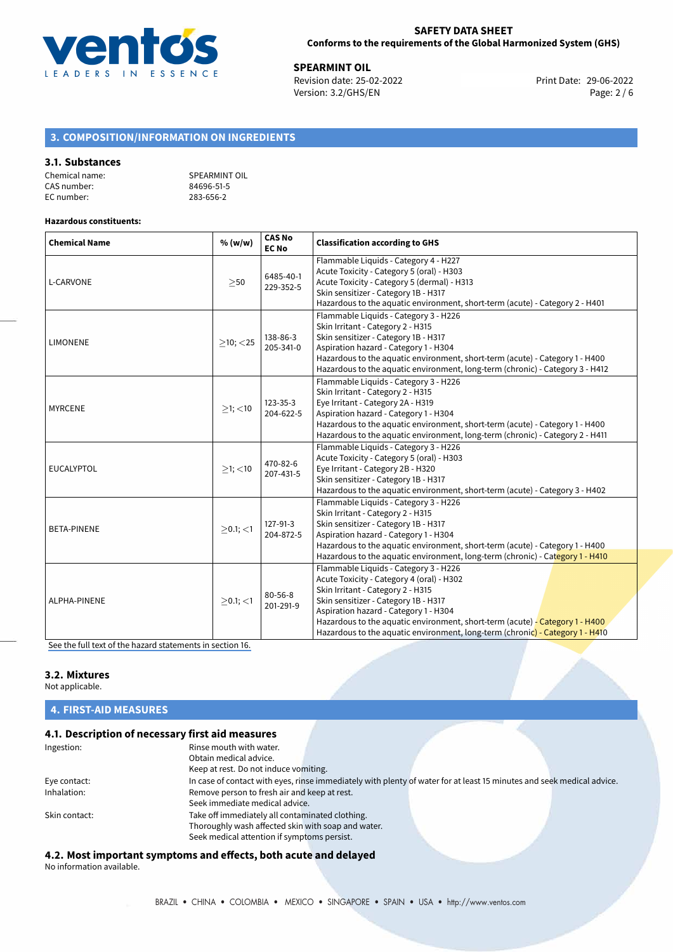

**29-06-2022 120-06-2022 12:33 Print Date: 29-06-2022**<br> **Revision date: 25-02-2022** 20:33 Print Date: 29-06-2022 Version: 3.2/GHS/EN Page: 2 / 6

# **3. COMPOSITION/INFORMATION ON INGREDIENTS**

### **3.1. Substances**

| Chemical name: | SPEARMINT OIL |
|----------------|---------------|
| CAS number:    | 84696-51-5    |
| EC number:     | 283-656-2     |

#### **Hazardous constituents:**

| <b>Chemical Name</b> | % (w/w)        | <b>CAS No</b><br><b>EC No</b> | <b>Classification according to GHS</b>                                                                                                                                                                                                                                                                                                                                    |
|----------------------|----------------|-------------------------------|---------------------------------------------------------------------------------------------------------------------------------------------------------------------------------------------------------------------------------------------------------------------------------------------------------------------------------------------------------------------------|
| L-CARVONE            | >50            | 6485-40-1<br>229-352-5        | Flammable Liquids - Category 4 - H227<br>Acute Toxicity - Category 5 (oral) - H303<br>Acute Toxicity - Category 5 (dermal) - H313<br>Skin sensitizer - Category 1B - H317<br>Hazardous to the aquatic environment, short-term (acute) - Category 2 - H401                                                                                                                 |
| <b>LIMONENE</b>      | $\geq$ 10; <25 | 138-86-3<br>205-341-0         | Flammable Liquids - Category 3 - H226<br>Skin Irritant - Category 2 - H315<br>Skin sensitizer - Category 1B - H317<br>Aspiration hazard - Category 1 - H304<br>Hazardous to the aquatic environment, short-term (acute) - Category 1 - H400<br>Hazardous to the aquatic environment, long-term (chronic) - Category 3 - H412                                              |
| <b>MYRCENE</b>       | $>1$ ; $<$ 10  | 123-35-3<br>204-622-5         | Flammable Liquids - Category 3 - H226<br>Skin Irritant - Category 2 - H315<br>Eye Irritant - Category 2A - H319<br>Aspiration hazard - Category 1 - H304<br>Hazardous to the aquatic environment, short-term (acute) - Category 1 - H400<br>Hazardous to the aquatic environment, long-term (chronic) - Category 2 - H411                                                 |
| <b>EUCALYPTOL</b>    | $>1$ ; $<$ 10  | 470-82-6<br>207-431-5         | Flammable Liquids - Category 3 - H226<br>Acute Toxicity - Category 5 (oral) - H303<br>Eye Irritant - Category 2B - H320<br>Skin sensitizer - Category 1B - H317<br>Hazardous to the aquatic environment, short-term (acute) - Category 3 - H402                                                                                                                           |
| <b>BETA-PINENE</b>   | $>0.1$ ; $<$ 1 | 127-91-3<br>204-872-5         | Flammable Liquids - Category 3 - H226<br>Skin Irritant - Category 2 - H315<br>Skin sensitizer - Category 1B - H317<br>Aspiration hazard - Category 1 - H304<br>Hazardous to the aquatic environment, short-term (acute) - Category 1 - H400<br>Hazardous to the aquatic environment, long-term (chronic) - Category 1 - H410                                              |
| ALPHA-PINENE         | $>0.1$ ; $<$ 1 | $80 - 56 - 8$<br>201-291-9    | Flammable Liquids - Category 3 - H226<br>Acute Toxicity - Category 4 (oral) - H302<br>Skin Irritant - Category 2 - H315<br>Skin sensitizer - Category 1B - H317<br>Aspiration hazard - Category 1 - H304<br>Hazardous to the aquatic environment, short-term (acute) - Category 1 - H400<br>Hazardous to the aquatic environment, long-term (chronic) - Category 1 - H410 |

[See the full text of the hazard statements in section 16.](#page-4-0)

### **3.2. Mixtures**

Not applicable.

# **4. FIRST-AID MEASURES**

# **4.1. Description of necessary first aid measures**

| Ingestion:    | Rinse mouth with water.                            |                                                                                                                       |  |
|---------------|----------------------------------------------------|-----------------------------------------------------------------------------------------------------------------------|--|
|               | Obtain medical advice.                             |                                                                                                                       |  |
|               | Keep at rest. Do not induce vomiting.              |                                                                                                                       |  |
| Eye contact:  |                                                    | In case of contact with eyes, rinse immediately with plenty of water for at least 15 minutes and seek medical advice. |  |
| Inhalation:   | Remove person to fresh air and keep at rest.       |                                                                                                                       |  |
|               | Seek immediate medical advice.                     |                                                                                                                       |  |
| Skin contact: | Take off immediately all contaminated clothing.    |                                                                                                                       |  |
|               | Thoroughly wash affected skin with soap and water. |                                                                                                                       |  |
|               | Seek medical attention if symptoms persist.        |                                                                                                                       |  |

**4.2. Most important symptoms and effects, both acute and delayed** No information available.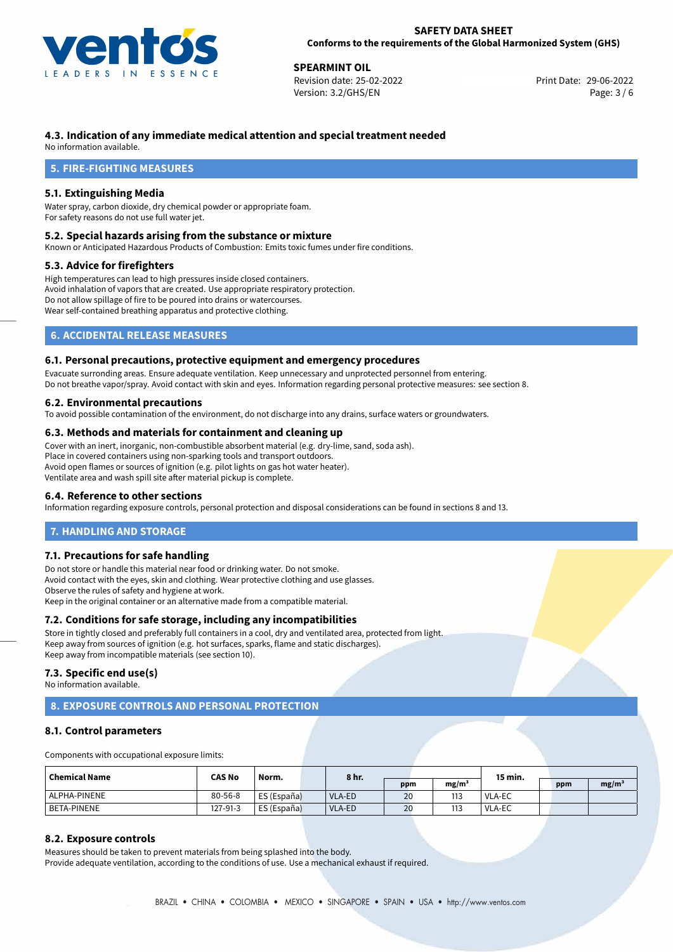

**29-06-2022**<br> **29-06-2022 SPEARING Print Date: 29-06-2022**<br> **Print Date: 29-06-2022** Revision date: 25-02-2022 Version: 3.2/GHS/EN Page: 3 / 6

# **4.3. Indication of any immediate medical attention and special treatment needed**

No information available.

# **5. FIRE-FIGHTING MEASURES**

## **5.1. Extinguishing Media**

Water spray, carbon dioxide, dry chemical powder or appropriate foam. For safety reasons do not use full water jet.

#### **5.2. Special hazards arising from the substance or mixture**

Known or Anticipated Hazardous Products of Combustion: Emits toxic fumes under fire conditions.

### **5.3. Advice for firefighters**

High temperatures can lead to high pressures inside closed containers. Avoid inhalation of vapors that are created. Use appropriate respiratory protection. Do not allow spillage of fire to be poured into drains or watercourses. Wear self-contained breathing apparatus and protective clothing.

# **6. ACCIDENTAL RELEASE MEASURES**

### **6.1. Personal precautions, protective equipment and emergency procedures**

Evacuate surronding areas. Ensure adequate ventilation. Keep unnecessary and unprotected personnel from entering. Do not breathe vapor/spray. Avoid contact with skin and eyes. Information regarding personal protective measures: see section 8.

## **6.2. Environmental precautions**

To avoid possible contamination of the environment, do not discharge into any drains, surface waters or groundwaters.

#### **6.3. Methods and materials for containment and cleaning up**

Cover with an inert, inorganic, non-combustible absorbent material (e.g. dry-lime, sand, soda ash). Place in covered containers using non-sparking tools and transport outdoors. Avoid open flames or sources of ignition (e.g. pilot lights on gas hot water heater). Ventilate area and wash spill site after material pickup is complete.

### **6.4. Reference to other sections**

Information regarding exposure controls, personal protection and disposal considerations can be found in sections 8 and 13.

# **7. HANDLING AND STORAGE**

## **7.1. Precautions for safe handling**

Do not store or handle this material near food or drinking water. Do not smoke. Avoid contact with the eyes, skin and clothing. Wear protective clothing and use glasses. Observe the rules of safety and hygiene at work. Keep in the original container or an alternative made from a compatible material.

# **7.2. Conditions for safe storage, including any incompatibilities**

Store in tightly closed and preferably full containers in a cool, dry and ventilated area, protected from light. Keep away from sources of ignition (e.g. hot surfaces, sparks, flame and static discharges). Keep away from incompatible materials (see section 10).

#### **7.3. Specific end use(s)**

No information available.

# **8. EXPOSURE CONTROLS AND PERSONAL PROTECTION**

### **8.1. Control parameters**

Components with occupational exposure limits:

| Chemical Name      | <b>CAS No</b><br>Norm. | 8 hr.       |        |     | 15 min. |          |     |                   |
|--------------------|------------------------|-------------|--------|-----|---------|----------|-----|-------------------|
|                    |                        |             |        | ppm | mg/m    |          | ppm | mg/m <sup>3</sup> |
| ALPHA-PINENE       | $80 - 56 - 8$          | ES (España) | VLA-ED | 20  | 113     | l VLA-EC |     |                   |
| <b>BETA-PINENE</b> | 127-91-3               | ES (España) | VLA-ED | 20  | 113     | l VLA-EC |     |                   |

# **8.2. Exposure controls**

Measures should be taken to prevent materials from being splashed into the body. Provide adequate ventilation, according to the conditions of use. Use a mechanical exhaust if required.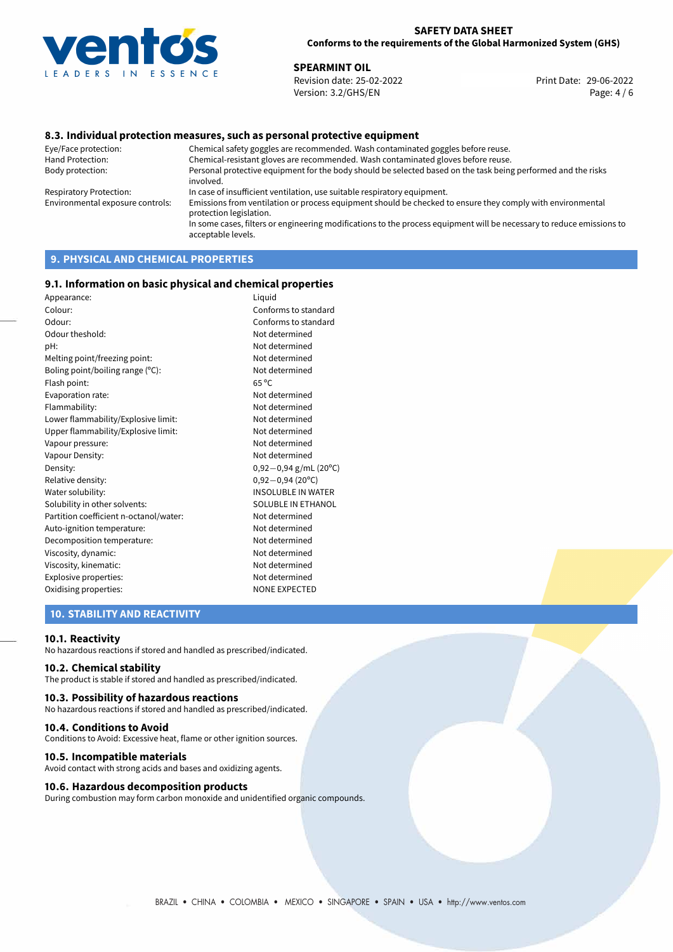

**29-06-2022**<br> **29-06-2022 SPEARING SEARCH SPEARING SEARCH SPEARING SEARCH SPEARING SPEARING SPEARING SPEARING SPEARING SPEARING SPEARING SPEARING SPEARING SPEARING SPEARING SPEARING SPEARING SPEARING SPEARING SPEARING SP** Revision date: 25-02-2022 Version: 3.2/GHS/EN Page: 4 / 6

## **8.3. Individual protection measures, such as personal protective equipment**

Eye/Face protection: Chemical safety goggles are recommended. Wash contaminated goggles before reuse. Chemical-resistant gloves are recommended. Wash contaminated gloves before reuse. Body protection: Personal protective equipment for the body should be selected based on the task being performed and the risks involved. Respiratory Protection: In case of insufficient ventilation, use suitable respiratory equipment. Environmental exposure controls: Emissions from ventilation or process equipment should be checked to ensure they comply with environmental protection legislation. In some cases, filters or engineering modifications to the process equipment will be necessary to reduce emissions to acceptable levels.

# **9. PHYSICAL AND CHEMICAL PROPERTIES**

### **9.1. Information on basic physical and chemical properties**

| Appearance:                            | Liguid                     |
|----------------------------------------|----------------------------|
| Colour:                                | Conforms to standard       |
| Odour:                                 | Conforms to standard       |
| Odour theshold:                        | Not determined             |
| pH:                                    | Not determined             |
| Melting point/freezing point:          | Not determined             |
| Boling point/boiling range (°C):       | Not determined             |
| Flash point:                           | $65^{\circ}$ C             |
| Evaporation rate:                      | Not determined             |
| Flammability:                          | Not determined             |
| Lower flammability/Explosive limit:    | Not determined             |
| Upper flammability/Explosive limit:    | Not determined             |
| Vapour pressure:                       | Not determined             |
| Vapour Density:                        | Not determined             |
| Density:                               | $0,92-0,94$ g/mL (20°C)    |
| Relative density:                      | $0,92 - 0,94(20^{\circ}C)$ |
| Water solubility:                      | <b>INSOLUBLE IN WATER</b>  |
| Solubility in other solvents:          | SOLUBLE IN ETHANOL         |
| Partition coefficient n-octanol/water: | Not determined             |
| Auto-ignition temperature:             | Not determined             |
| Decomposition temperature:             | Not determined             |
| Viscosity, dynamic:                    | Not determined             |
| Viscosity, kinematic:                  | Not determined             |
| Explosive properties:                  | Not determined             |
| Oxidising properties:                  | <b>NONE EXPECTED</b>       |
|                                        |                            |

## **10. STABILITY AND REACTIVITY**

#### **10.1. Reactivity**

No hazardous reactions if stored and handled as prescribed/indicated.

## **10.2. Chemical stability**

The product is stable if stored and handled as prescribed/indicated.

### **10.3. Possibility of hazardous reactions**

No hazardous reactions if stored and handled as prescribed/indicated.

#### **10.4. Conditions to Avoid**

Conditions to Avoid: Excessive heat, flame or other ignition sources.

#### **10.5. Incompatible materials**

Avoid contact with strong acids and bases and oxidizing agents.

#### **10.6. Hazardous decomposition products**

During combustion may form carbon monoxide and unidentified organic compounds.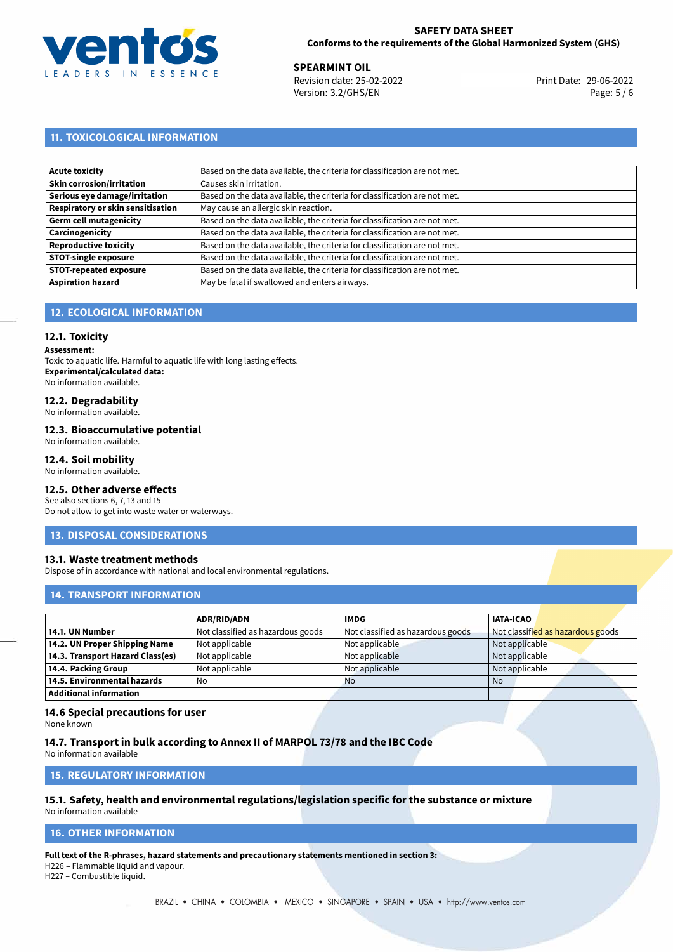

**29-06-2022 120-06-2022 12:33 Print Date: 29-06-2022**<br> **Revision date: 25-02-2022** 20:33 Print Date: 29-06-2022 Version: 3.2/GHS/EN Page: 5 / 6

# **11. TOXICOLOGICAL INFORMATION**

| Acute toxicity                    | Based on the data available, the criteria for classification are not met. |
|-----------------------------------|---------------------------------------------------------------------------|
| Skin corrosion/irritation         | Causes skin irritation.                                                   |
| Serious eye damage/irritation     | Based on the data available, the criteria for classification are not met. |
| Respiratory or skin sensitisation | May cause an allergic skin reaction.                                      |
| Germ cell mutagenicity            | Based on the data available, the criteria for classification are not met. |
| <b>Carcinogenicity</b>            | Based on the data available, the criteria for classification are not met. |
| Reproductive toxicity             | Based on the data available, the criteria for classification are not met. |
| STOT-single exposure              | Based on the data available, the criteria for classification are not met. |
| <b>STOT-repeated exposure</b>     | Based on the data available, the criteria for classification are not met. |
| <b>Aspiration hazard</b>          | May be fatal if swallowed and enters airways.                             |

# **12. ECOLOGICAL INFORMATION**

### **12.1. Toxicity**

**Assessment:**

Toxic to aquatic life. Harmful to aquatic life with long lasting effects. **Experimental/calculated data:** No information available.

# **12.2. Degradability**

No information available.

#### **12.3. Bioaccumulative potential**

No information available.

#### **12.4. Soil mobility**

No information available.

# **12.5. Other adverse effects**

See also sections 6, 7, 13 and 15 Do not allow to get into waste water or waterways.

#### **13. DISPOSAL CONSIDERATIONS**

### **13.1. Waste treatment methods**

Dispose of in accordance with national and local environmental regulations.

## **14. TRANSPORT INFORMATION**

|                                  | <b>ADR/RID/ADN</b>                | <b>IMDG</b>                       | <b>IATA-ICAO</b>                  |
|----------------------------------|-----------------------------------|-----------------------------------|-----------------------------------|
| 14.1. UN Number                  | Not classified as hazardous goods | Not classified as hazardous goods | Not classified as hazardous goods |
| 14.2. UN Proper Shipping Name    | Not applicable                    | Not applicable                    | Not applicable                    |
| 14.3. Transport Hazard Class(es) | Not applicable                    | Not applicable                    | Not applicable                    |
| 14.4. Packing Group              | Not applicable                    | Not applicable                    | Not applicable                    |
| 14.5. Environmental hazards      | No                                | <b>No</b>                         | <b>No</b>                         |
| <b>Additional information</b>    |                                   |                                   |                                   |

## **14.6 Special precautions for user**

None known

# **14.7. Transport in bulk according to Annex II of MARPOL 73/78 and the IBC Code**

No information available

### **15. REGULATORY INFORMATION**

#### **15.1. Safety, health and environmental regulations/legislation specific for the substance or mixture** No information available

# <span id="page-4-0"></span>**16. OTHER INFORMATION**

**Full text of the R-phrases, hazard statements and precautionary statements mentioned in section 3:**

H226 – Flammable liquid and vapour.